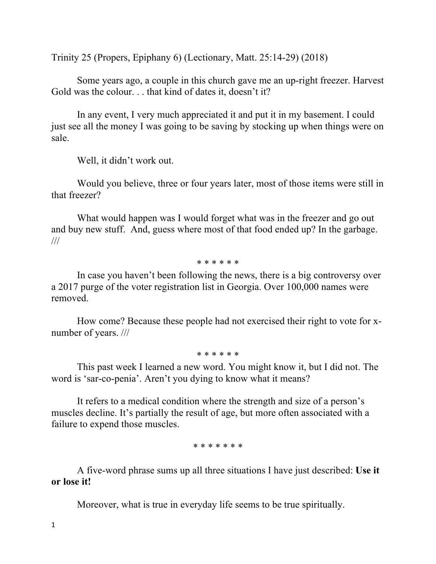Trinity 25 (Propers, Epiphany 6) (Lectionary, Matt. 25:14-29) (2018)

Some years ago, a couple in this church gave me an up-right freezer. Harvest Gold was the colour. . . that kind of dates it, doesn't it?

In any event, I very much appreciated it and put it in my basement. I could just see all the money I was going to be saving by stocking up when things were on sale.

Well, it didn't work out.

Would you believe, three or four years later, most of those items were still in that freezer?

What would happen was I would forget what was in the freezer and go out and buy new stuff. And, guess where most of that food ended up? In the garbage. ///

\* \* \* \* \* \*

In case you haven't been following the news, there is a big controversy over a 2017 purge of the voter registration list in Georgia. Over 100,000 names were removed.

How come? Because these people had not exercised their right to vote for xnumber of years. ///

\* \* \* \* \* \*

This past week I learned a new word. You might know it, but I did not. The word is 'sar-co-penia'. Aren't you dying to know what it means?

It refers to a medical condition where the strength and size of a person's muscles decline. It's partially the result of age, but more often associated with a failure to expend those muscles.

\* \* \* \* \* \* \*

A five-word phrase sums up all three situations I have just described: **Use it or lose it!**

Moreover, what is true in everyday life seems to be true spiritually.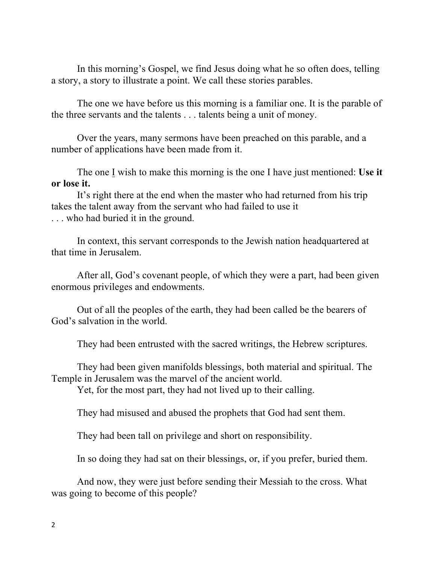In this morning's Gospel, we find Jesus doing what he so often does, telling a story, a story to illustrate a point. We call these stories parables.

The one we have before us this morning is a familiar one. It is the parable of the three servants and the talents . . . talents being a unit of money.

Over the years, many sermons have been preached on this parable, and a number of applications have been made from it.

The one I wish to make this morning is the one I have just mentioned: **Use it or lose it.**

It's right there at the end when the master who had returned from his trip takes the talent away from the servant who had failed to use it . . . who had buried it in the ground.

In context, this servant corresponds to the Jewish nation headquartered at that time in Jerusalem.

After all, God's covenant people, of which they were a part, had been given enormous privileges and endowments.

Out of all the peoples of the earth, they had been called be the bearers of God's salvation in the world.

They had been entrusted with the sacred writings, the Hebrew scriptures.

They had been given manifolds blessings, both material and spiritual. The Temple in Jerusalem was the marvel of the ancient world.

Yet, for the most part, they had not lived up to their calling.

They had misused and abused the prophets that God had sent them.

They had been tall on privilege and short on responsibility.

In so doing they had sat on their blessings, or, if you prefer, buried them.

And now, they were just before sending their Messiah to the cross. What was going to become of this people?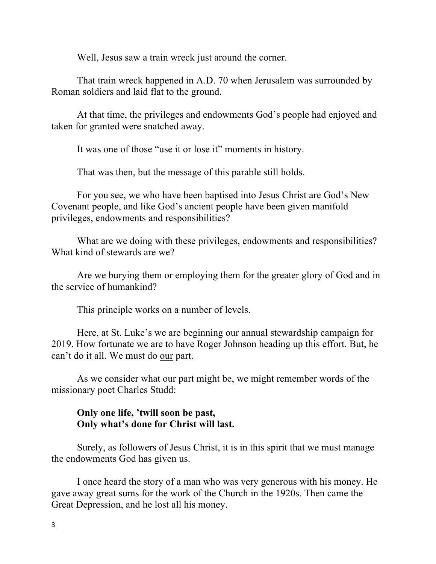Well, Jesus saw a train wreck just around the corner.

That train wreck happened in A.D. 70 when Jerusalem was surrounded by Roman soldiers and laid flat to the ground.

At that time, the privileges and endowments God's people had enjoyed and taken for granted were snatched away.

It was one of those "use it or lose it" moments in history.

That was then, but the message of this parable still holds.

For you see, we who have been baptised into Jesus Christ are God's New Covenant people, and like God's ancient people have been given manifold privileges, endowments and responsibilities?

What are we doing with these privileges, endowments and responsibilities? What kind of stewards are we?

Are we burying them or employing them for the greater glory of God and in the service of humankind?

This principle works on a number of levels.

Here, at St. Luke's we are beginning our annual stewardship campaign for 2019. How fortunate we are to have Roger Johnson heading up this effort. But, he can't do it all. We must do our part.

As we consider what our part might be, we might remember words of the missionary poet Charles Studd:

## **Only one life, 'twill soon be past, Only what's done for Christ will last.**

Surely, as followers of Jesus Christ, it is in this spirit that we must manage the endowments God has given us.

I once heard the story of a man who was very generous with his money. He gave away great sums for the work of the Church in the 1920s. Then came the Great Depression, and he lost all his money.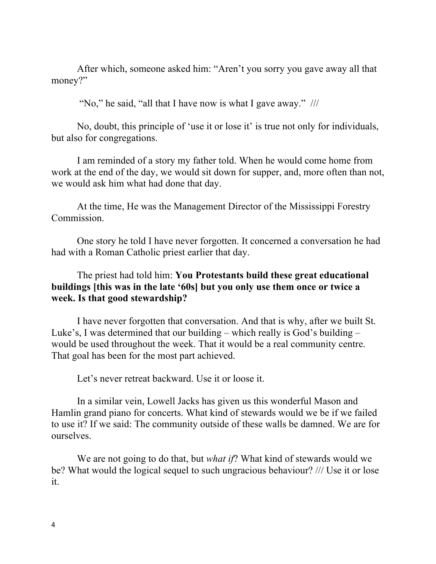After which, someone asked him: "Aren't you sorry you gave away all that money?"

"No," he said, "all that I have now is what I gave away." ///

No, doubt, this principle of 'use it or lose it' is true not only for individuals, but also for congregations.

I am reminded of a story my father told. When he would come home from work at the end of the day, we would sit down for supper, and, more often than not, we would ask him what had done that day.

At the time, He was the Management Director of the Mississippi Forestry Commission.

One story he told I have never forgotten. It concerned a conversation he had had with a Roman Catholic priest earlier that day.

## The priest had told him: **You Protestants build these great educational buildings [this was in the late '60s] but you only use them once or twice a week. Is that good stewardship?**

I have never forgotten that conversation. And that is why, after we built St. Luke's, I was determined that our building – which really is God's building – would be used throughout the week. That it would be a real community centre. That goal has been for the most part achieved.

Let's never retreat backward. Use it or loose it.

In a similar vein, Lowell Jacks has given us this wonderful Mason and Hamlin grand piano for concerts. What kind of stewards would we be if we failed to use it? If we said: The community outside of these walls be damned. We are for ourselves.

We are not going to do that, but *what if*? What kind of stewards would we be? What would the logical sequel to such ungracious behaviour? /// Use it or lose it.